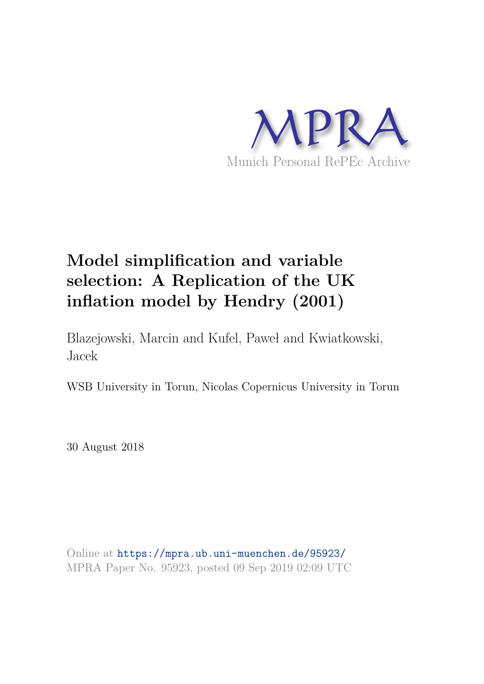

# **Model simplification and variable selection: A Replication of the UK inflation model by Hendry (2001)**

Blazejowski, Marcin and Kufel, Paweł and Kwiatkowski, Jacek

WSB University in Torun, Nicolas Copernicus University in Torun

30 August 2018

Online at https://mpra.ub.uni-muenchen.de/95923/ MPRA Paper No. 95923, posted 09 Sep 2019 02:09 UTC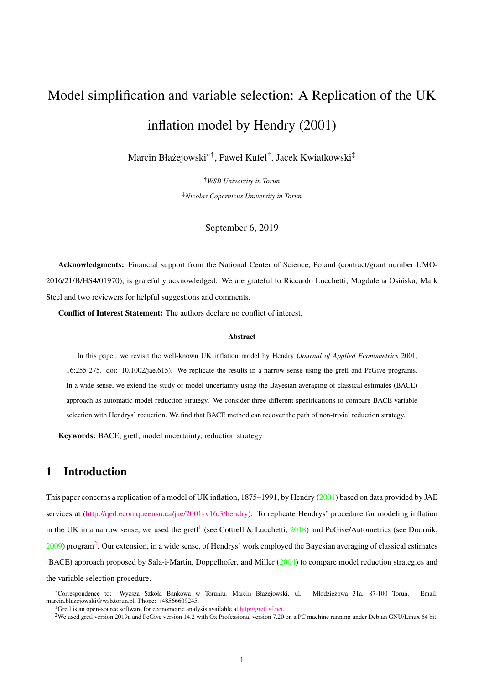# Model simplification and variable selection: A Replication of the UK inflation model by Hendry (2001)

Marcin Błażejowski\*†, Paweł Kufel†, Jacek Kwiatkowski‡

†*WSB University in Torun* ‡*Nicolas Copernicus University in Torun*

September 6, 2019

Acknowledgments: Financial support from the National Center of Science, Poland (contract/grant number UMO-2016/21/B/HS4/01970), is gratefully acknowledged. We are grateful to Riccardo Lucchetti, Magdalena Osinska, Mark ´ Steel and two reviewers for helpful suggestions and comments.

Conflict of Interest Statement: The authors declare no conflict of interest.

#### Abstract

In this paper, we revisit the well-known UK inflation model by Hendry (*Journal of Applied Econometrics* 2001, 16:255-275. doi: 10.1002/jae.615). We replicate the results in a narrow sense using the gretl and PcGive programs. In a wide sense, we extend the study of model uncertainty using the Bayesian averaging of classical estimates (BACE) approach as automatic model reduction strategy. We consider three different specifications to compare BACE variable selection with Hendrys' reduction. We find that BACE method can recover the path of non-trivial reduction strategy.

Keywords: BACE, gretl, model uncertainty, reduction strategy

# 1 Introduction

This paper concerns a replication of a model of UK inflation, 1875–1991, by Hendry (2001) based on data provided by JAE services at (http://qed.econ.queensu.ca/jae/2001-v16.3/hendry). To replicate Hendrys' procedure for modeling inflation in the UK in a narrow sense, we used the gretl<sup>1</sup> (see Cottrell & Lucchetti, 2018) and PcGive/Autometrics (see Doornik,  $2009$ ) program<sup>2</sup>. Our extension, in a wide sense, of Hendrys' work employed the Bayesian averaging of classical estimates (BACE) approach proposed by Sala-i-Martin, Doppelhofer, and Miller (2004) to compare model reduction strategies and the variable selection procedure.

<sup>\*</sup>Correspondence to: Wyższa Szkoła Bankowa w Toruniu, Marcin Błażejowski, ul. Młodzieżowa 31a, 87-100 Toruń. Email: marcin.blazejowski@wsb.torun.pl. Phone: +48566609245.

<sup>&</sup>lt;sup>1</sup>Gretl is an open-source software for econometric analysis available at http://gretl.sf.net.

<sup>&</sup>lt;sup>2</sup>We used gretl version 2019a and PcGive version 14.2 with Ox Professional version 7.20 on a PC machine running under Debian GNU/Linux 64 bit.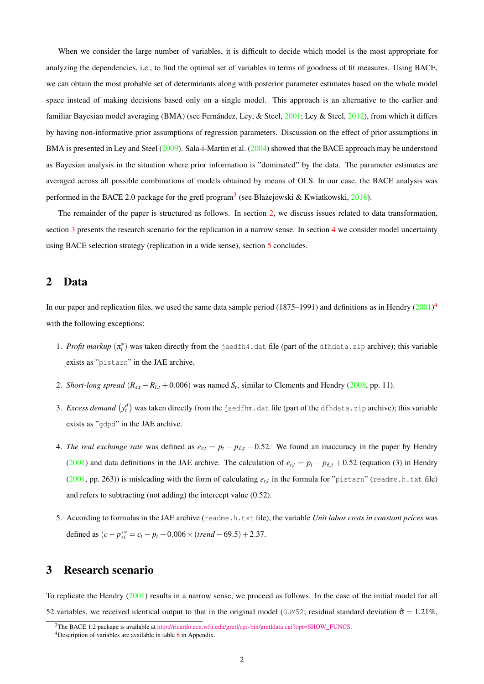When we consider the large number of variables, it is difficult to decide which model is the most appropriate for analyzing the dependencies, i.e., to find the optimal set of variables in terms of goodness of fit measures. Using BACE, we can obtain the most probable set of determinants along with posterior parameter estimates based on the whole model space instead of making decisions based only on a single model. This approach is an alternative to the earlier and familiar Bayesian model averaging (BMA) (see Fernández, Ley, & Steel, 2001; Ley & Steel, 2012), from which it differs by having non-informative prior assumptions of regression parameters. Discussion on the effect of prior assumptions in BMA is presented in Ley and Steel (2009). Sala-i-Martin et al. (2004) showed that the BACE approach may be understood as Bayesian analysis in the situation where prior information is "dominated" by the data. The parameter estimates are averaged across all possible combinations of models obtained by means of OLS. In our case, the BACE analysis was performed in the BACE 2.0 package for the gretl program<sup>3</sup> (see Błażejowski & Kwiatkowski, 2018).

The remainder of the paper is structured as follows. In section 2, we discuss issues related to data transformation, section 3 presents the research scenario for the replication in a narrow sense. In section 4 we consider model uncertainty using BACE selection strategy (replication in a wide sense), section 5 concludes.

#### 2 Data

In our paper and replication files, we used the same data sample period (1875–1991) and definitions as in Hendry (2001)<sup>4</sup> with the following exceptions:

- 1. *Profit markup*  $(\pi_t^*)$  was taken directly from the jaedfh4.dat file (part of the dfhdata.zip archive); this variable exists as "pistarn" in the JAE archive.
- 2. *Short-long spread* ( $R_{s,t} R_{l,t} + 0.006$ ) was named  $S_t$ , similar to Clements and Hendry (2008, pp. 11).
- 3. *Excess demand*  $(y^d_t)$  was taken directly from the jaedfhm.dat file (part of the dfhdata.zip archive); this variable exists as "gdpd" in the JAE archive.
- 4. *The real exchange rate* was defined as  $e_{r,t} = p_t p_{f,t} 0.52$ . We found an inaccuracy in the paper by Hendry (2001) and data definitions in the JAE archive. The calculation of  $e_{r,t} = p_t - p_{f,t} + 0.52$  (equation (3) in Hendry (2001, pp. 263)) is misleading with the form of calculating  $e_{r,t}$  in the formula for "pistarn" (readme.h.txt file) and refers to subtracting (not adding) the intercept value (0.52).
- 5. According to formulas in the JAE archive (readme.h.txt file), the variable *Unit labor costs in constant prices* was defined as  $(c - p)_t^* = c_t - p_t + 0.006 \times (trend - 69.5) + 2.37$ .

# 3 Research scenario

To replicate the Hendry (2001) results in a narrow sense, we proceed as follows. In the case of the initial model for all 52 variables, we received identical output to that in the original model (GUM52; residual standard deviation  $\hat{\sigma} = 1.21\%$ ,

<sup>3</sup>The BACE 1.2 package is available at http://ricardo.ecn.wfu.edu/gretl/cgi-bin/gretldata.cgi?opt=SHOW\_FUNCS.

<sup>&</sup>lt;sup>4</sup>Description of variables are available in table 6 in Appendix.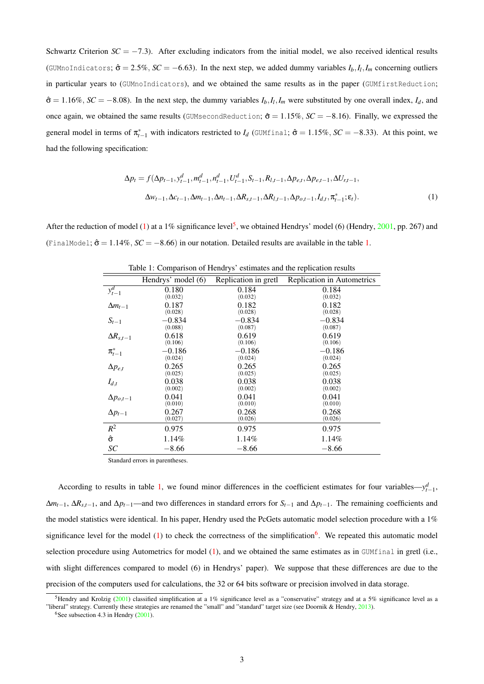Schwartz Criterion  $SC = -7.3$ ). After excluding indicators from the initial model, we also received identical results (GUMnoIndicators;  $\hat{\sigma} = 2.5\%, SC = -6.63$ ). In the next step, we added dummy variables  $I_b, I_l, I_m$  concerning outliers in particular years to (GUMnoIndicators), and we obtained the same results as in the paper (GUMfirstReduction;  $\hat{\sigma} = 1.16\%, SC = -8.08$ ). In the next step, the dummy variables  $I_b, I_l, I_m$  were substituted by one overall index,  $I_d$ , and once again, we obtained the same results (GUMsecondReduction;  $\hat{\sigma} = 1.15\%$ ,  $SC = -8.16$ ). Finally, we expressed the general model in terms of  $\pi_{t-1}^*$  with indicators restricted to  $I_d$  (GUMfinal;  $\hat{\sigma} = 1.15\%$ ,  $SC = -8.33$ ). At this point, we had the following specification:

$$
\Delta p_t = f(\Delta p_{t-1}, y_{t-1}^d, m_{t-1}^d, n_{t-1}^d, U_{t-1}^d, S_{t-1}, R_{l,t-1}, \Delta p_{e,t}, \Delta p_{e,t-1}, \Delta U_{r,t-1},
$$
  

$$
\Delta w_{t-1}, \Delta c_{t-1}, \Delta m_{t-1}, \Delta n_{t-1}, \Delta R_{s,t-1}, \Delta R_{l,t-1}, \Delta p_{o,t-1}, I_{d,t}, \pi_{t-1}^*; \varepsilon_t).
$$
 (1)

After the reduction of model (1) at a 1% significance level<sup>5</sup>, we obtained Hendrys' model (6) (Hendry,  $2001$ , pp. 267) and (FinalModel;  $\hat{\sigma} = 1.14\%, \, SC = -8.66$ ) in our notation. Detailed results are available in the table 1.

| raore 1. Comparison of french for estimates and the representon research |                    |                      |                            |  |  |  |
|--------------------------------------------------------------------------|--------------------|----------------------|----------------------------|--|--|--|
|                                                                          | Hendrys' model (6) | Replication in gretl | Replication in Autometrics |  |  |  |
| $y_{t-1}^d$                                                              | 0.180              | 0.184                | 0.184                      |  |  |  |
|                                                                          | (0.032)            | (0.032)              | (0.032)                    |  |  |  |
| $\Delta m_{t-1}$                                                         | 0.187              | 0.182                | 0.182                      |  |  |  |
|                                                                          | (0.028)            | (0.028)              | (0.028)                    |  |  |  |
| $S_{t-1}$                                                                | $-0.834$           | $-0.834$             | $-0.834$                   |  |  |  |
| $\Delta R_{s,t-1}$                                                       | (0.088)            | (0.087)              | (0.087)                    |  |  |  |
|                                                                          | 0.618              | 0.619                | 0.619                      |  |  |  |
|                                                                          | (0.106)            | (0.106)              | (0.106)                    |  |  |  |
| $\pi^*_{t-1}$<br>$\Delta p_{e,t}$                                        | $-0.186$           | $-0.186$             | $-0.186$                   |  |  |  |
|                                                                          | (0.024)            | (0.024)              | (0.024)                    |  |  |  |
|                                                                          | 0.265              | 0.265                | 0.265                      |  |  |  |
|                                                                          | (0.025)            | (0.025)              | (0.025)                    |  |  |  |
| $I_{d,t}$                                                                | 0.038              | 0.038                | 0.038                      |  |  |  |
|                                                                          | (0.002)            | (0.002)              | (0.002)                    |  |  |  |
| $\Delta p_{o,t-1}$<br>$\Delta p_{t-1}$                                   | 0.041              | 0.041                | 0.041                      |  |  |  |
|                                                                          | (0.010)            | (0.010)              | (0.010)                    |  |  |  |
|                                                                          | 0.267              | 0.268                | 0.268                      |  |  |  |
|                                                                          | (0.027)            | (0.026)              | (0.026)                    |  |  |  |
| $R^2$                                                                    | 0.975              | 0.975                | 0.975                      |  |  |  |
| ô                                                                        | 1.14%              | 1.14%                | 1.14%                      |  |  |  |
| SC                                                                       | $-8.66$            | $-8.66$              | $-8.66$                    |  |  |  |

Table 1: Comparison of Hendrys' estimates and the replication results

Standard errors in parentheses.

According to results in table 1, we found minor differences in the coefficient estimates for four variables— $y_{t-1}^d$ ,  $\Delta m$ <sub>*t*−1</sub>,  $\Delta R$ <sub>*st*−1</sub>, and  $\Delta p$ <sub>*t*−1</sub>—and two differences in standard errors for  $S$ <sub>*t*−1</sub> and  $\Delta p$ <sub>*t*−1</sub>. The remaining coefficients and the model statistics were identical. In his paper, Hendry used the PcGets automatic model selection procedure with a 1% significance level for the model (1) to check the correctness of the simplification<sup>6</sup>. We repeated this automatic model selection procedure using Autometrics for model (1), and we obtained the same estimates as in GUMfinal in gretl (i.e., with slight differences compared to model (6) in Hendrys' paper). We suppose that these differences are due to the precision of the computers used for calculations, the 32 or 64 bits software or precision involved in data storage.

<sup>&</sup>lt;sup>5</sup>Hendry and Krolzig (2001) classified simplification at a 1% significance level as a "conservative" strategy and at a 5% significance level as a "liberal" strategy. Currently these strategies are renamed the "small" and "standard" target size (see Doornik & Hendry, 2013).

 $6$ See subsection 4.3 in Hendry (2001).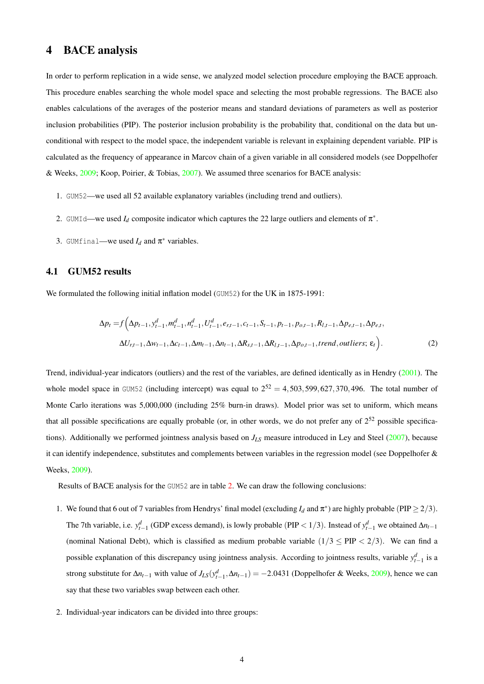## 4 BACE analysis

In order to perform replication in a wide sense, we analyzed model selection procedure employing the BACE approach. This procedure enables searching the whole model space and selecting the most probable regressions. The BACE also enables calculations of the averages of the posterior means and standard deviations of parameters as well as posterior inclusion probabilities (PIP). The posterior inclusion probability is the probability that, conditional on the data but unconditional with respect to the model space, the independent variable is relevant in explaining dependent variable. PIP is calculated as the frequency of appearance in Marcov chain of a given variable in all considered models (see Doppelhofer & Weeks, 2009; Koop, Poirier, & Tobias, 2007). We assumed three scenarios for BACE analysis:

- 1. GUM52—we used all 52 available explanatory variables (including trend and outliers).
- 2. GUMId—we used  $I_d$  composite indicator which captures the 22 large outliers and elements of  $\pi^*$ .
- 3. GUMfinal—we used  $I_d$  and  $\pi^*$  variables.

#### 4.1 GUM52 results

We formulated the following initial inflation model (GUM52) for the UK in 1875-1991:

$$
\Delta p_t = f\left(\Delta p_{t-1}, y_{t-1}^d, m_{t-1}^d, n_{t-1}^d, U_{t-1}^d, e_{r,t-1}, c_{t-1}, S_{t-1}, p_{t-1}, p_{o,t-1}, R_{l,t-1}, \Delta p_{e,t-1}, \Delta p_{e,t}, \Delta U_{r,t-1}, \Delta w_{t-1}, \Delta c_{t-1}, \Delta m_{t-1}, \Delta n_{t-1}, \Delta R_{s,t-1}, \Delta R_{l,t-1}, \Delta p_{o,t-1}, trend, outliers; \varepsilon_t\right).
$$
\n(2)

Trend, individual-year indicators (outliers) and the rest of the variables, are defined identically as in Hendry (2001). The whole model space in GUM52 (including intercept) was equal to  $2^{52} = 4,503,599,627,370,496$ . The total number of Monte Carlo iterations was 5,000,000 (including 25% burn-in draws). Model prior was set to uniform, which means that all possible specifications are equally probable (or, in other words, we do not prefer any of  $2^{52}$  possible specifications). Additionally we performed jointness analysis based on *JLS* measure introduced in Ley and Steel (2007), because it can identify independence, substitutes and complements between variables in the regression model (see Doppelhofer & Weeks, 2009).

Results of BACE analysis for the GUM52 are in table 2. We can draw the following conclusions:

- 1. We found that 6 out of 7 variables from Hendrys' final model (excluding  $I_d$  and  $\pi^*$ ) are highly probable (PIP  $\geq$  2/3). The 7th variable, i.e.  $y_{t-1}^d$  (GDP excess demand), is lowly probable (PIP < 1/3). Instead of  $y_{t-1}^d$  we obtained  $\Delta n_{t-1}$ (nominal National Debt), which is classified as medium probable variable  $(1/3 \leq PIP < 2/3)$ . We can find a possible explanation of this discrepancy using jointness analysis. According to jointness results, variable  $y_{t-1}^d$  is a strong substitute for  $\Delta n_{t-1}$  with value of  $J_{LS}(y_{t-1}^d, \Delta n_{t-1}) = -2.0431$  (Doppelhofer & Weeks, 2009), hence we can say that these two variables swap between each other.
- 2. Individual-year indicators can be divided into three groups: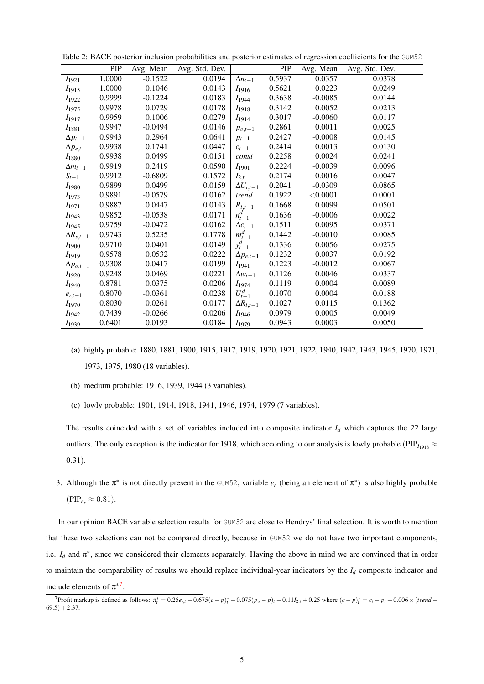|                    | <b>PIP</b> | Avg. Mean | Avg. Std. Dev. |                    | PIP    | Avg. Mean | Avg. Std. Dev. |  |
|--------------------|------------|-----------|----------------|--------------------|--------|-----------|----------------|--|
| $I_{1921}$         | 1.0000     | $-0.1522$ | 0.0194         | $\Delta n_{t-1}$   | 0.5937 | 0.0357    | 0.0378         |  |
| $I_{1915}$         | 1.0000     | 0.1046    | 0.0143         | $I_{1916}$         | 0.5621 | 0.0223    | 0.0249         |  |
| $I_{1922}$         | 0.9999     | $-0.1224$ | 0.0183         | $I_{1944}$         | 0.3638 | $-0.0085$ | 0.0144         |  |
| $I_{1975}$         | 0.9978     | 0.0729    | 0.0178         | $I_{1918}$         | 0.3142 | 0.0052    | 0.0213         |  |
| $I_{1917}$         | 0.9959     | 0.1006    | 0.0279         | $I_{1914}$         | 0.3017 | $-0.0060$ | 0.0117         |  |
| $I_{1881}$         | 0.9947     | $-0.0494$ | 0.0146         | $p_{o,t-1}$        | 0.2861 | 0.0011    | 0.0025         |  |
| $\Delta p_{t-1}$   | 0.9943     | 0.2964    | 0.0641         | $p_{t-1}$          | 0.2427 | $-0.0008$ | 0.0145         |  |
| $\Delta p_{e,t}$   | 0.9938     | 0.1741    | 0.0447         | $c_{t-1}$          | 0.2414 | 0.0013    | 0.0130         |  |
| $I_{1880}$         | 0.9938     | 0.0499    | 0.0151         | const              | 0.2258 | 0.0024    | 0.0241         |  |
| $\Delta m_{t-1}$   | 0.9919     | 0.2419    | 0.0590         | $I_{1901}$         | 0.2224 | $-0.0039$ | 0.0096         |  |
| $S_{t-1}$          | 0.9912     | $-0.6809$ | 0.1572         | $I_{2,t}$          | 0.2174 | 0.0016    | 0.0047         |  |
| $I_{1980}$         | 0.9899     | 0.0499    | 0.0159         | $\Delta U_{r,t-1}$ | 0.2041 | $-0.0309$ | 0.0865         |  |
| $I_{1973}$         | 0.9891     | $-0.0579$ | 0.0162         | trend              | 0.1922 | < 0.0001  | 0.0001         |  |
| $I_{1971}$         | 0.9887     | 0.0447    | 0.0143         | $R_{l,t-1}$        | 0.1668 | 0.0099    | 0.0501         |  |
| $I_{1943}$         | 0.9852     | $-0.0538$ | 0.0171         | $n_{t-1}^d$        | 0.1636 | $-0.0006$ | 0.0022         |  |
| $I_{1945}$         | 0.9759     | $-0.0472$ | 0.0162         | $\Delta c_{t-1}$   | 0.1511 | 0.0095    | 0.0371         |  |
| $\Delta R_{s,t-1}$ | 0.9743     | 0.5235    | 0.1778         | $m_{t-1}^d$        | 0.1442 | $-0.0010$ | 0.0085         |  |
| $I_{1900}$         | 0.9710     | 0.0401    | 0.0149         | $y_{t-1}^d$        | 0.1336 | 0.0056    | 0.0275         |  |
| $I_{1919}$         | 0.9578     | 0.0532    | 0.0222         | $\Delta p_{e,t-1}$ | 0.1232 | 0.0037    | 0.0192         |  |
| $\Delta p_{o,t-1}$ | 0.9308     | 0.0417    | 0.0199         | $I_{1941}$         | 0.1223 | $-0.0012$ | 0.0067         |  |
| $I_{1920}$         | 0.9248     | 0.0469    | 0.0221         | $\Delta w_{t-1}$   | 0.1126 | 0.0046    | 0.0337         |  |
| $I_{1940}$         | 0.8781     | 0.0375    | 0.0206         | $I_{1974}$         | 0.1119 | 0.0004    | 0.0089         |  |
| $e_{r,t-1}$        | 0.8070     | $-0.0361$ | 0.0238         | $U_{t-1}^d$        | 0.1070 | 0.0004    | 0.0188         |  |
| $I_{1970}$         | 0.8030     | 0.0261    | 0.0177         | $\Delta R_{l,t-1}$ | 0.1027 | 0.0115    | 0.1362         |  |
| $I_{1942}$         | 0.7439     | $-0.0266$ | 0.0206         | $I_{1946}$         | 0.0979 | 0.0005    | 0.0049         |  |
| $I_{1939}$         | 0.6401     | 0.0193    | 0.0184         | $I_{1979}$         | 0.0943 | 0.0003    | 0.0050         |  |

Table 2: BACE posterior inclusion probabilities and posterior estimates of regression coefficients for the GUM52

- (a) highly probable: 1880, 1881, 1900, 1915, 1917, 1919, 1920, 1921, 1922, 1940, 1942, 1943, 1945, 1970, 1971, 1973, 1975, 1980 (18 variables).
- (b) medium probable: 1916, 1939, 1944 (3 variables).
- (c) lowly probable: 1901, 1914, 1918, 1941, 1946, 1974, 1979 (7 variables).

The results coincided with a set of variables included into composite indicator  $I_d$  which captures the 22 large outliers. The only exception is the indicator for 1918, which according to our analysis is lowly probable (PIP<sub>*I*1918</sub>  $\approx$ 0.31).

3. Although the  $\pi^*$  is not directly present in the GUM52, variable  $e_r$  (being an element of  $\pi^*$ ) is also highly probable  $(PIP_{e_r} \approx 0.81).$ 

In our opinion BACE variable selection results for GUM52 are close to Hendrys' final selection. It is worth to mention that these two selections can not be compared directly, because in GUM52 we do not have two important components, i.e.  $I_d$  and  $\pi^*$ , since we considered their elements separately. Having the above in mind we are convinced that in order to maintain the comparability of results we should replace individual-year indicators by the *I<sup>d</sup>* composite indicator and include elements of  $\pi^{*7}$ .

Profit markup is defined as follows:  $\pi_t^* = 0.25e_{r,t} - 0.675(c - p)_t^* - 0.075(p_o - p)_t + 0.11I_{2,t} + 0.25$  where  $(c - p)_t^* = c_t - p_t + 0.006 \times (trend - p)_t^*$  $69.5$ ) + 2.37.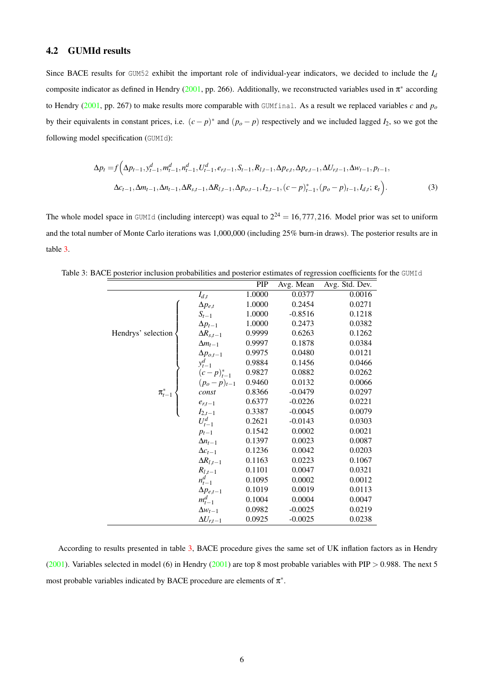#### 4.2 GUMId results

Since BACE results for GUM52 exhibit the important role of individual-year indicators, we decided to include the *I<sup>d</sup>* composite indicator as defined in Hendry (2001, pp. 266). Additionally, we reconstructed variables used in  $\pi^*$  according to Hendry (2001, pp. 267) to make results more comparable with GUMfinal. As a result we replaced variables *c* and *p<sup>o</sup>* by their equivalents in constant prices, i.e.  $(c - p)^*$  and  $(p_o - p)$  respectively and we included lagged  $I_2$ , so we got the following model specification (GUMId):

$$
\Delta p_t = f\left(\Delta p_{t-1}, y_{t-1}^d, m_{t-1}^d, n_{t-1}^d, U_{t-1}^d, e_{r,t-1}, S_{t-1}, R_{l,t-1}, \Delta p_{e,t}, \Delta p_{e,t-1}, \Delta U_{r,t-1}, \Delta w_{t-1}, p_{t-1}, S_{t-1}, \Delta w_{t-1}, \Delta w_{t-1}, \Delta w_{t-1}, \Delta R_{t,t-1}, \Delta R_{t,t-1}, \Delta p_{o,t-1}, I_{2,t-1}, (c-p)_{t-1}^*, (p_o - p)_{t-1}, I_{d,t}; \epsilon_t\right).
$$
\n(3)

The whole model space in GUMId (including intercept) was equal to  $2^{24} = 16,777,216$ . Model prior was set to uniform and the total number of Monte Carlo iterations was 1,000,000 (including 25% burn-in draws). The posterior results are in table 3.

|                    |                                      | PIP    | Avg. Mean | Avg. Std. Dev. |
|--------------------|--------------------------------------|--------|-----------|----------------|
|                    | $I_{d,t}$                            | 1.0000 | 0.0377    | 0.0016         |
|                    | $\Delta p_{e,t}$                     | 1.0000 | 0.2454    | 0.0271         |
|                    | $S_{t-1}$                            | 1.0000 | $-0.8516$ | 0.1218         |
|                    | $\Delta p_{t-1}$                     | 1.0000 | 0.2473    | 0.0382         |
| Hendrys' selection | $\Delta R_{s,t-1}$                   | 0.9999 | 0.6263    | 0.1262         |
|                    | $\Delta m_{t-1}$                     | 0.9997 | 0.1878    | 0.0384         |
|                    | $\frac{\Delta p_{o,t-1}}{y_{t-1}^d}$ | 0.9975 | 0.0480    | 0.0121         |
|                    |                                      | 0.9884 | 0.1456    | 0.0466         |
|                    | $(c-p)^{*}_{t-1}$                    | 0.9827 | 0.0882    | 0.0262         |
|                    | $(p_o - p)_{t-1}$                    | 0.9460 | 0.0132    | 0.0066         |
| $\pi^*_{t-1}$      | const                                | 0.8366 | $-0.0479$ | 0.0297         |
|                    | $e_{r,t-1}$<br>$I_{2,t-1}$           | 0.6377 | $-0.0226$ | 0.0221         |
|                    |                                      | 0.3387 | $-0.0045$ | 0.0079         |
|                    | $U_{t-1}^d$                          | 0.2621 | $-0.0143$ | 0.0303         |
|                    | $p_{t-1}$                            | 0.1542 | 0.0002    | 0.0021         |
|                    | $\Delta n_{t-1}$                     | 0.1397 | 0.0023    | 0.0087         |
|                    | $\Delta c_{t-1}$                     | 0.1236 | 0.0042    | 0.0203         |
|                    | $\Delta R_{l,t-1}$                   | 0.1163 | 0.0223    | 0.1067         |
|                    | $\frac{R_{l,t-1}}{n_{t-1}^d}$        | 0.1101 | 0.0047    | 0.0321         |
|                    |                                      | 0.1095 | 0.0002    | 0.0012         |
|                    | $\Delta p_{e,t-1}$                   | 0.1019 | 0.0019    | 0.0113         |
|                    | $m_{t-1}^d$                          | 0.1004 | 0.0004    | 0.0047         |
|                    | $\Delta w_{t-1}$                     | 0.0982 | $-0.0025$ | 0.0219         |
|                    | $\Delta U_{r,t-1}$                   | 0.0925 | $-0.0025$ | 0.0238         |

Table 3: BACE posterior inclusion probabilities and posterior estimates of regression coefficients for the GUMId

According to results presented in table 3, BACE procedure gives the same set of UK inflation factors as in Hendry (2001). Variables selected in model (6) in Hendry (2001) are top 8 most probable variables with PIP  $> 0.988$ . The next 5 most probable variables indicated by BACE procedure are elements of  $\pi^*$ .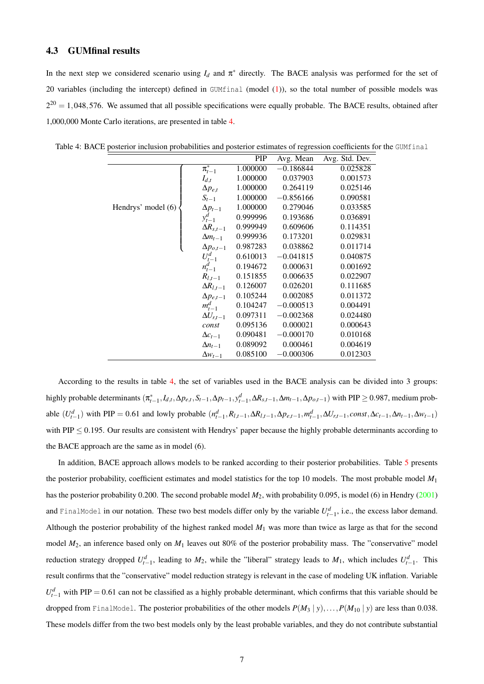#### 4.3 GUMfinal results

In the next step we considered scenario using  $I_d$  and  $\pi^*$  directly. The BACE analysis was performed for the set of 20 variables (including the intercept) defined in GUMfinal (model (1)), so the total number of possible models was  $2^{20} = 1,048,576$ . We assumed that all possible specifications were equally probable. The BACE results, obtained after 1,000,000 Monte Carlo iterations, are presented in table 4.

|                    |                                                     | <b>PIP</b> | Avg. Mean   | Avg. Std. Dev. |
|--------------------|-----------------------------------------------------|------------|-------------|----------------|
|                    | $\pi^*_{t-1}$                                       | 1.000000   | $-0.186844$ | 0.025828       |
|                    | $I_{d,t}$                                           | 1.000000   | 0.037903    | 0.001573       |
|                    | $\Delta p_{e,t}$                                    | 1.000000   | 0.264119    | 0.025146       |
|                    | $S_{t-1}$                                           | 1.000000   | $-0.856166$ | 0.090581       |
| Hendrys' model (6) | $\Delta p_{t-1}$                                    | 1.000000   | 0.279046    | 0.033585       |
|                    | $y_{t-1}^d$                                         | 0.999996   | 0.193686    | 0.036891       |
|                    | $\Delta R_{s,t-1}$                                  | 0.999949   | 0.609606    | 0.114351       |
|                    | $\Delta m_{t-1}$                                    | 0.999936   | 0.173201    | 0.029831       |
|                    | $\Delta p_{o,t-1}$                                  | 0.987283   | 0.038862    | 0.011714       |
|                    |                                                     | 0.610013   | $-0.041815$ | 0.040875       |
|                    | $\begin{array}{c} U_{t-1}^d\\ n_{t-1}^d\end{array}$ | 0.194672   | 0.000631    | 0.001692       |
|                    | $R_{l,t-1}$                                         | 0.151855   | 0.006635    | 0.022907       |
|                    | $\Delta R_{l,t-1}$                                  | 0.126007   | 0.026201    | 0.111685       |
|                    | $\Delta p_{e,t-1}$                                  | 0.105244   | 0.002085    | 0.011372       |
|                    | $m_{t-1}^d$                                         | 0.104247   | $-0.000513$ | 0.004491       |
|                    | $\Delta U_{r,t-1}$                                  | 0.097311   | $-0.002368$ | 0.024480       |
|                    | const                                               | 0.095136   | 0.000021    | 0.000643       |
|                    | $\Delta c_{t-1}$                                    | 0.090481   | $-0.000170$ | 0.010168       |
|                    | $\Delta n_{t-1}$                                    | 0.089092   | 0.000461    | 0.004619       |
|                    | $\Delta w_{t-1}$                                    | 0.085100   | $-0.000306$ | 0.012303       |

Table 4: BACE posterior inclusion probabilities and posterior estimates of regression coefficients for the GUMfinal

According to the results in table 4, the set of variables used in the BACE analysis can be divided into 3 groups: highly probable determinants  $(\pi^*_{t-1}, I_{d,t}, \Delta p_{e,t}, S_{t-1}, \Delta p_{t-1}, y_{t-1}^d, \Delta R_{s,t-1}, \Delta m_{t-1}, \Delta p_{o,t-1})$  with PIP  $\geq$  0.987, medium probable  $(U_{t-1}^d)$  with PIP = 0.61 and lowly probable  $(n_{t-1}^d, R_{l,t-1}, \Delta R_{l,t-1}, \Delta p_{e,t-1}, m_{t-1}^d, \Delta U_{r,t-1}, const, \Delta c_{t-1}, \Delta n_{t-1}, \Delta w_{t-1})$ with PIP  $\leq$  0.195. Our results are consistent with Hendrys' paper because the highly probable determinants according to the BACE approach are the same as in model (6).

In addition, BACE approach allows models to be ranked according to their posterior probabilities. Table 5 presents the posterior probability, coefficient estimates and model statistics for the top 10 models. The most probable model *M*<sup>1</sup> has the posterior probability 0.200. The second probable model *M*2, with probability 0.095, is model (6) in Hendry (2001) and FinalModel in our notation. These two best models differ only by the variable  $U_{t-1}^d$ , i.e., the excess labor demand. Although the posterior probability of the highest ranked model *M*<sup>1</sup> was more than twice as large as that for the second model  $M_2$ , an inference based only on  $M_1$  leaves out 80% of the posterior probability mass. The "conservative" model reduction strategy dropped  $U_{t-1}^d$ , leading to  $M_2$ , while the "liberal" strategy leads to  $M_1$ , which includes  $U_{t-1}^d$ . This result confirms that the "conservative" model reduction strategy is relevant in the case of modeling UK inflation. Variable  $U_{t-1}^d$  with PIP = 0.61 can not be classified as a highly probable determinant, which confirms that this variable should be dropped from FinalModel. The posterior probabilities of the other models  $P(M_3 | y)$ ,..., $P(M_{10} | y)$  are less than 0.038. These models differ from the two best models only by the least probable variables, and they do not contribute substantial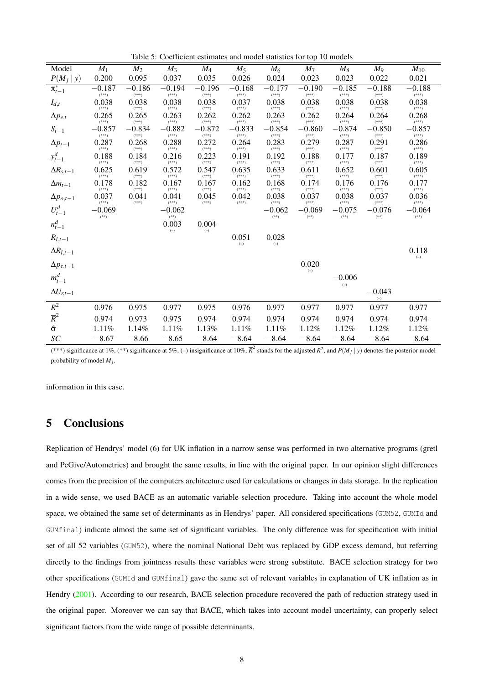| Model              | $M_1$                                       | $M_2$                                       | $M_3$                                           | $M_4$                                                  | $M_5$                                       | $M_6$                                       | $M_7$                                                  | $M_8$                                          | $M_{9}$                                                | $M_{10}$                                               |
|--------------------|---------------------------------------------|---------------------------------------------|-------------------------------------------------|--------------------------------------------------------|---------------------------------------------|---------------------------------------------|--------------------------------------------------------|------------------------------------------------|--------------------------------------------------------|--------------------------------------------------------|
| $P(M_j   y)$       | 0.200                                       | 0.095                                       | 0.037                                           | 0.035                                                  | 0.026                                       | 0.024                                       | 0.023                                                  | 0.023                                          | 0.022                                                  | 0.021                                                  |
|                    | $-0.187$                                    | $-0.186$                                    | $-0.194$                                        | $-0.196$                                               | $-0.168$                                    | $-0.177$                                    | $-0.190$                                               | $-0.185$                                       | $-0.188$                                               | $-0.188$                                               |
| $\pi^*_{t-1}$      | $(***)$                                     | $(***)$                                     | $(***)$                                         | $(***)$                                                | $(***)$                                     | $(***)$                                     | $(***)$                                                | $(***)$                                        | $(***)$                                                | $\left( ^{\ast \ast \ast }\right)$                     |
| $I_{d,t}$          | 0.038<br>$(\ast\ast\ast)$                   | 0.038<br>$\left( ^{\ast \ast \ast }\right)$ | 0.038<br>$\left( ^{\ast \ast \ast }\right)$     | 0.038<br>$(***)$                                       | 0.037<br>$(***)$                            | 0.038<br>$\left( ^{\ast \ast \ast }\right)$ | 0.038<br>$\left( ^{\ast \ast \ast }\right)$            | 0.038<br>$\left( ^{\ast \ast \ast }\right)$    | 0.038<br>$(***)$                                       | 0.038<br>$(\ast\ast\ast)$                              |
| $\Delta p_{e,t}$   | 0.265<br>$(***)$                            | 0.265<br>$(***)$                            | 0.263<br>$(***)$                                | 0.262<br>$(***)$                                       | 0.262<br>$(***)$                            | 0.263<br>$\left( ^{\ast \ast \ast }\right)$ | 0.262<br>$(***)$                                       | 0.264<br>$(***)$                               | 0.264<br>$(***)$                                       | 0.268<br>$(***)$                                       |
| $S_{t-1}$          | $-0.857$<br>$(^{***})$                      | $-0.834$<br>$(***)$                         | $-0.882$<br>$(***)$                             | $-0.872$<br>$(***)$                                    | $-0.833$<br>$(***)$                         | $-0.854$<br>$(***)$                         | $-0.860$<br>$\left( ^{\ast \ast \ast }\right)$         | $-0.874$<br>$\left( ^{\ast \ast \ast }\right)$ | $-0.850$<br>$\left( ^{\ast \ast \ast }\right)$         | $-0.857$<br>$\left( ^{\ast \ast \ast }\right)$         |
| $\Delta p_{t-1}$   | 0.287<br>$(^{***})$                         | 0.268<br>$(***)$                            | 0.288<br>$(***)$                                | 0.272<br>$\left( ^{\ast \ast \ast }\right)$            | 0.264<br>$\left( ^{\ast \ast \ast }\right)$ | 0.283<br>$\left(^{***}\right)$              | 0.279<br>$(***)$                                       | 0.287<br>$\left( ^{\ast \ast \ast }\right)$    | 0.291<br>$(***)$                                       | 0.286<br>$\left( ^{\ast \ast \ast }\right)$            |
| $y_{t-1}^d$        | 0.188<br>$(^{***})$                         | 0.184<br>$\left( ^{\ast \ast \ast }\right)$ | 0.216<br>$(***)$                                | 0.223<br>$\left( ^{\ast \ast \ast }\right)$            | 0.191<br>$\left( ^{\ast \ast \ast }\right)$ | 0.192<br>$(***)$                            | 0.188<br>$\left( ^{\ast \ast \ast }\right)$            | 0.177<br>$\left( ^{\ast \ast \ast }\right)$    | 0.187<br>$\left( ^{\ast \ast \ast }\right)$            | 0.189<br>$\left( ^{\ast \ast \ast }\right)$            |
| $\Delta R_{s,t-1}$ | 0.625                                       | 0.619                                       | 0.572                                           | 0.547                                                  | 0.635                                       | 0.633                                       | 0.611                                                  | 0.652                                          | 0.601                                                  | 0.605                                                  |
| $\Delta m_{t-1}$   | $\left( ^{\ast \ast \ast }\right)$<br>0.178 | $\left( ^{\ast \ast \ast }\right)$<br>0.182 | $(***)$<br>0.167<br>$(***)$                     | $\left( ^{\ast \ast \ast }\right)$<br>0.167<br>$(***)$ | $(***)$<br>0.162                            | $\left( ^{\ast \ast \ast }\right)$<br>0.168 | $\left( ^{\ast \ast \ast }\right)$<br>0.174<br>$(***)$ | $\left( ^{\ast \ast \ast }\right)$<br>0.176    | $\left( ^{\ast \ast \ast }\right)$<br>0.176            | $(***)$<br>0.177<br>$\left( ^{\ast \ast \ast }\right)$ |
| $\Delta p_{o,t-1}$ | $(***)$<br>0.037<br>$(***)$                 | $(\ast\ast\ast)$<br>0.041<br>$(***)$        | 0.041<br>$(***)$                                | 0.045<br>$(***)$                                       | $(***)$<br>0.042<br>$(***)$                 | $(***)$<br>0.038<br>$(***)$                 | 0.037<br>$(***)$                                       | $(***)$<br>0.038<br>$(***)$                    | $\left( ^{\ast \ast \ast }\right)$<br>0.037<br>$(***)$ | 0.036<br>$(***)$                                       |
| ${\cal U}_{t-1}^d$ | $-0.069$                                    |                                             | $-0.062$                                        |                                                        |                                             | $-0.062$                                    | $-0.069$                                               | $-0.075$                                       | $-0.076$                                               | $-0.064$                                               |
| $n_{t-1}^d$        | $(**)$                                      |                                             | $\left( ^{\ast \ast }\right)$<br>0.003<br>$(-)$ | 0.004<br>$(-)$                                         |                                             | $(^{\ast\ast})$                             | $\left(^{\ast\ast}\right)$                             | $(^{**})$                                      | $(^{**})$                                              | $(^{**})$                                              |
| $R_{l,t-1}$        |                                             |                                             |                                                 |                                                        | 0.051<br>$(-)$                              | 0.028<br>$(-)$                              |                                                        |                                                |                                                        |                                                        |
| $\Delta R_{l,t-1}$ |                                             |                                             |                                                 |                                                        |                                             |                                             |                                                        |                                                |                                                        | 0.118                                                  |
| $\Delta p_{e,t-1}$ |                                             |                                             |                                                 |                                                        |                                             |                                             | 0.020<br>$(-)$                                         |                                                |                                                        | $\left( -\right)$                                      |
| $m_{t-1}^d$        |                                             |                                             |                                                 |                                                        |                                             |                                             |                                                        | $-0.006$                                       |                                                        |                                                        |
| $\Delta U_{r,t-1}$ |                                             |                                             |                                                 |                                                        |                                             |                                             |                                                        | $(-)$                                          | $-0.043$<br>$\left( -\right)$                          |                                                        |
| $R^2$              | 0.976                                       | 0.975                                       | 0.977                                           | 0.975                                                  | 0.976                                       | 0.977                                       | 0.977                                                  | 0.977                                          | 0.977                                                  | 0.977                                                  |
| $\overline{R}^2$   | 0.974                                       | 0.973                                       | 0.975                                           | 0.974                                                  | 0.974                                       | 0.974                                       | 0.974                                                  | 0.974                                          | 0.974                                                  | 0.974                                                  |
| $\hat{\sigma}$     | $1.11\%$                                    | 1.14%                                       | 1.11%                                           | 1.13%                                                  | 1.11%                                       | 1.11%                                       | 1.12%                                                  | 1.12%                                          | 1.12%                                                  | 1.12%                                                  |
| $\cal SC$          | $-8.67$                                     | $-8.66$                                     | $-8.65$                                         | $-8.64$                                                | $-8.64$                                     | $-8.64$                                     | $-8.64$                                                | $-8.64$                                        | $-8.64$                                                | $-8.64$                                                |

Table 5: Coefficient estimates and model statistics for top 10 models

(\*\*\*) significance at 1%, (\*\*) significance at 5%, (-) insignificance at 10%,  $\overline{R}^2$  stands for the adjusted  $R^2$ , and  $P(M_j | y)$  denotes the posterior model probability of model *M<sup>j</sup>* .

information in this case.

### 5 Conclusions

Replication of Hendrys' model (6) for UK inflation in a narrow sense was performed in two alternative programs (gretl and PcGive/Autometrics) and brought the same results, in line with the original paper. In our opinion slight differences comes from the precision of the computers architecture used for calculations or changes in data storage. In the replication in a wide sense, we used BACE as an automatic variable selection procedure. Taking into account the whole model space, we obtained the same set of determinants as in Hendrys' paper. All considered specifications (GUM52, GUMId and GUMfinal) indicate almost the same set of significant variables. The only difference was for specification with initial set of all 52 variables (GUM52), where the nominal National Debt was replaced by GDP excess demand, but referring directly to the findings from jointness results these variables were strong substitute. BACE selection strategy for two other specifications (GUMId and GUMfinal) gave the same set of relevant variables in explanation of UK inflation as in Hendry (2001). According to our research, BACE selection procedure recovered the path of reduction strategy used in the original paper. Moreover we can say that BACE, which takes into account model uncertainty, can properly select significant factors from the wide range of possible determinants.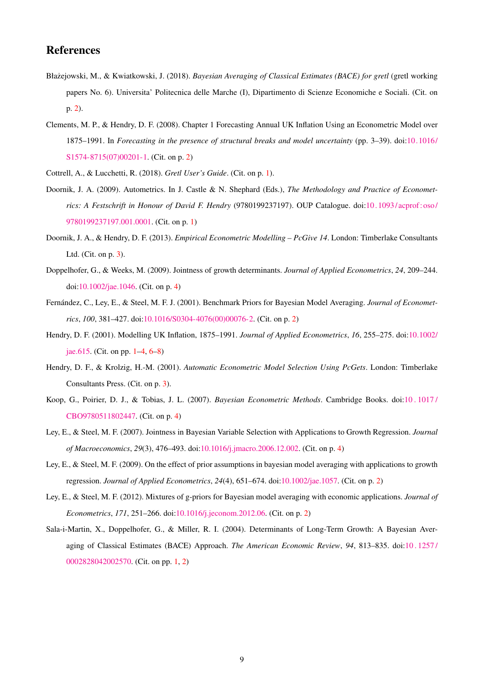## References

- Błażejowski, M., & Kwiatkowski, J. (2018). *Bayesian Averaging of Classical Estimates (BACE) for gretl* (gretl working papers No. 6). Universita' Politecnica delle Marche (I), Dipartimento di Scienze Economiche e Sociali. (Cit. on p. 2).
- Clements, M. P., & Hendry, D. F. (2008). Chapter 1 Forecasting Annual UK Inflation Using an Econometric Model over 1875–1991. In *Forecasting in the presence of structural breaks and model uncertainty* (pp. 3–39). doi:10.1016/ S1574-8715(07)00201-1. (Cit. on p. 2)
- Cottrell, A., & Lucchetti, R. (2018). *Gretl User's Guide*. (Cit. on p. 1).
- Doornik, J. A. (2009). Autometrics. In J. Castle & N. Shephard (Eds.), *The Methodology and Practice of Econometrics: A Festschrift in Honour of David F. Hendry* (9780199237197). OUP Catalogue. doi:10. 1093/ acprof: oso/ 9780199237197.001.0001. (Cit. on p. 1)
- Doornik, J. A., & Hendry, D. F. (2013). *Empirical Econometric Modelling PcGive 14*. London: Timberlake Consultants Ltd. (Cit. on p. 3).
- Doppelhofer, G., & Weeks, M. (2009). Jointness of growth determinants. *Journal of Applied Econometrics*, *24*, 209–244. doi:10.1002/jae.1046. (Cit. on p. 4)
- Fernández, C., Ley, E., & Steel, M. F. J. (2001). Benchmark Priors for Bayesian Model Averaging. *Journal of Econometrics*, *100*, 381–427. doi:10.1016/S0304-4076(00)00076-2. (Cit. on p. 2)
- Hendry, D. F. (2001). Modelling UK Inflation, 1875–1991. *Journal of Applied Econometrics*, *16*, 255–275. doi:10.1002/ jae.615. (Cit. on pp. 1–4, 6–8)
- Hendry, D. F., & Krolzig, H.-M. (2001). *Automatic Econometric Model Selection Using PcGets*. London: Timberlake Consultants Press. (Cit. on p. 3).
- Koop, G., Poirier, D. J., & Tobias, J. L. (2007). *Bayesian Econometric Methods*. Cambridge Books. doi:10 . 1017 / CBO9780511802447. (Cit. on p. 4)
- Ley, E., & Steel, M. F. (2007). Jointness in Bayesian Variable Selection with Applications to Growth Regression. *Journal of Macroeconomics*, *29*(3), 476–493. doi:10.1016/j.jmacro.2006.12.002. (Cit. on p. 4)
- Ley, E., & Steel, M. F. (2009). On the effect of prior assumptions in bayesian model averaging with applications to growth regression. *Journal of Applied Econometrics*, *24*(4), 651–674. doi:10.1002/jae.1057. (Cit. on p. 2)
- Ley, E., & Steel, M. F. (2012). Mixtures of g-priors for Bayesian model averaging with economic applications. *Journal of Econometrics*, *171*, 251–266. doi:10.1016/j.jeconom.2012.06. (Cit. on p. 2)
- Sala-i-Martin, X., Doppelhofer, G., & Miller, R. I. (2004). Determinants of Long-Term Growth: A Bayesian Averaging of Classical Estimates (BACE) Approach. *The American Economic Review*, *94*, 813–835. doi:10 . 1257 / 0002828042002570. (Cit. on pp. 1, 2)